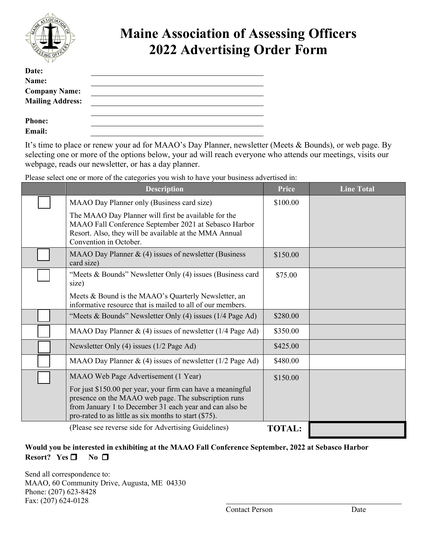

## **Maine Association of Assessing Officers 2022 Advertising Order Form**

| Date:                   |  |
|-------------------------|--|
| Name:                   |  |
| <b>Company Name:</b>    |  |
| <b>Mailing Address:</b> |  |
|                         |  |
| <b>Phone:</b>           |  |
| Email:                  |  |

It's time to place or renew your ad for MAAO's Day Planner, newsletter (Meets & Bounds), or web page. By selecting one or more of the options below, your ad will reach everyone who attends our meetings, visits our webpage, reads our newsletter, or has a day planner.

| Please select one or more of the categories you wish to have your business advertised in: |  |  |  |
|-------------------------------------------------------------------------------------------|--|--|--|
|                                                                                           |  |  |  |
|                                                                                           |  |  |  |
|                                                                                           |  |  |  |

| <b>Description</b>                                                                                                                                                                                                                         |               | <b>Line Total</b> |
|--------------------------------------------------------------------------------------------------------------------------------------------------------------------------------------------------------------------------------------------|---------------|-------------------|
| MAAO Day Planner only (Business card size)                                                                                                                                                                                                 | \$100.00      |                   |
| The MAAO Day Planner will first be available for the<br>MAAO Fall Conference September 2021 at Sebasco Harbor<br>Resort. Also, they will be available at the MMA Annual<br>Convention in October.                                          |               |                   |
| MAAO Day Planner $\&$ (4) issues of newsletter (Business<br>card size)                                                                                                                                                                     | \$150.00      |                   |
| "Meets & Bounds" Newsletter Only (4) issues (Business card<br>size)                                                                                                                                                                        | \$75.00       |                   |
| Meets & Bound is the MAAO's Quarterly Newsletter, an<br>informative resource that is mailed to all of our members.                                                                                                                         |               |                   |
| "Meets & Bounds" Newsletter Only (4) issues (1/4 Page Ad)                                                                                                                                                                                  | \$280.00      |                   |
| MAAO Day Planner & (4) issues of newsletter $(1/4$ Page Ad)                                                                                                                                                                                | \$350.00      |                   |
| Newsletter Only (4) issues (1/2 Page Ad)                                                                                                                                                                                                   | \$425.00      |                   |
| MAAO Day Planner $\&$ (4) issues of newsletter (1/2 Page Ad)                                                                                                                                                                               | \$480.00      |                   |
| MAAO Web Page Advertisement (1 Year)                                                                                                                                                                                                       | \$150.00      |                   |
| For just \$150.00 per year, your firm can have a meaningful<br>presence on the MAAO web page. The subscription runs<br>from January 1 to December 31 each year and can also be<br>pro-rated to as little as six months to start $(\$75)$ . |               |                   |
| (Please see reverse side for Advertising Guidelines)                                                                                                                                                                                       | <b>TOTAL:</b> |                   |

## **Would you be interested in exhibiting at the MAAO Fall Conference September, 2022 at Sebasco Harbor Resort?** Yes  $\Box$  No  $\Box$

Send all correspondence to: MAAO, 60 Community Drive, Augusta, ME 04330 Phone: (207) 623-8428 Fax: (207) 624-0128